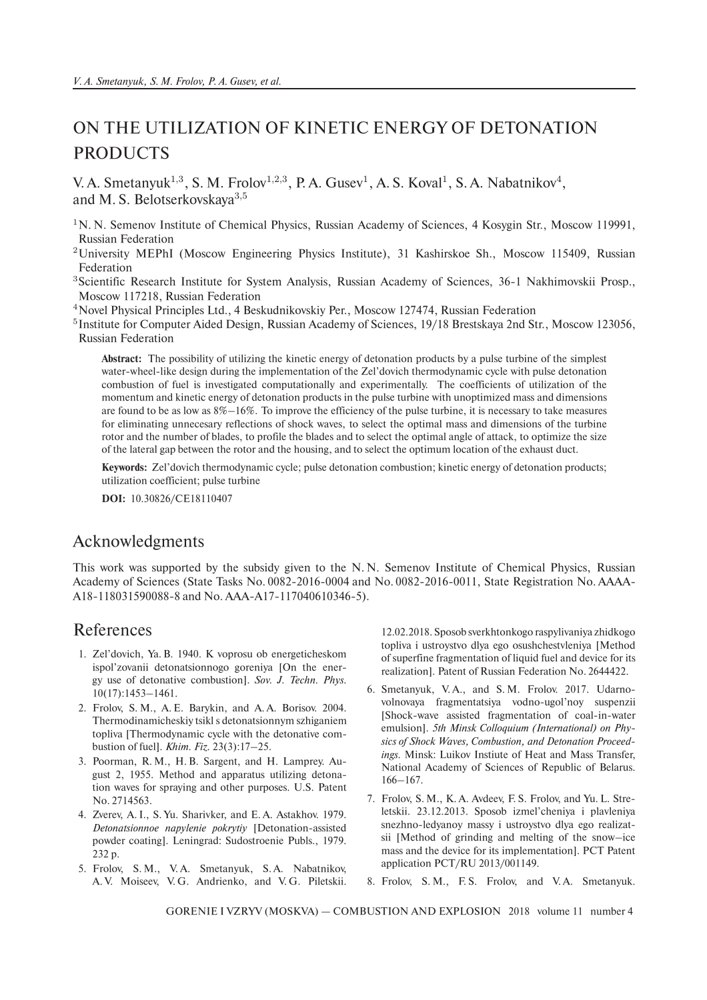## ON THE UTILIZATION OF KINETIC ENERGY OF DETONATION **PRODUCTS**

V. A. Smetanyuk<sup>1,3</sup>, S. M. Frolov<sup>1,2,3</sup>, P. A. Gusev<sup>1</sup>, A. S. Koval<sup>1</sup>, S. A. Nabatnikov<sup>4</sup>, and M. S. Belotserkovskaya<sup>3,5</sup>

- <sup>1</sup>N. N. Semenov Institute of Chemical Physics, Russian Academy of Sciences, 4 Kosygin Str., Moscow 119991, Russian Federation
- <sup>2</sup>University MEPhI (Moscow Engineering Physics Institute), 31 Kashirskoe Sh., Moscow 115409, Russian Federation
- <sup>3</sup>Scientific Research Institute for System Analysis, Russian Academy of Sciences, 36-1 Nakhimovskii Prosp., Moscow 117218, Russian Federation
- <sup>4</sup>Novel Physical Principles Ltd., 4 Beskudnikovskiy Per., Moscow 127474, Russian Federation
- <sup>5</sup>Institute for Computer Aided Design, Russian Academy of Sciences, 19/18 Brestskaya 2nd Str., Moscow 123056, Russian Federation

**Abstract:** The possibility of utilizing the kinetic energy of detonation products by a pulse turbine of the simplest water-wheel-like design during the implementation of the Zel'dovich thermodynamic cycle with pulse detonation combustion of fuel is investigated computationally and experimentally. The coefficients of utilization of the momentum and kinetic energy of detonation products in the pulse turbine with unoptimized mass and dimensions are found to be as low as 8%–16%. To improve the efficiency of the pulse turbine, it is necessary to take measures for eliminating unnecesary reflections of shock waves, to select the optimal mass and dimensions of the turbine rotor and the number of blades, to profile the blades and to select the optimal angle of attack, to optimize the size of the lateral gap between the rotor and the housing, and to select the optimum location of the exhaust duct.

**Keywords:** Zel'dovich thermodynamic cycle; pulse detonation combustion; kinetic energy of detonation products; utilization coefficient; pulse turbine

**DOI:** 10.30826/CE18110407

## Acknowledgments

This work was supported by the subsidy given to the N. N. Semenov Institute of Chemical Physics, Russian Academy of Sciences (State Tasks No. 0082-2016-0004 and No. 0082-2016-0011, State Registration No. AAAA-A18-118031590088-8 and No. AAA-A17-117040610346-5).

## References

- 1. Zel'dovich, Ya. B. 1940. K voprosu ob energeticheskom ispol'zovanii detonatsionnogo goreniya [On the energy use of detonative combustion]. *Sov. J. Techn. Phys.* 10(17):1453–1461.
- 2. Frolov, S. M., A. E. Barykin, and A. A. Borisov. 2004. Thermodinamicheskiy tsikl s detonatsionnym szhiganiem topliva [Thermodynamic cycle with the detonative combustion of fuel]. *Khim. Fiz.* 23(3):17–25.
- 3. Poorman, R. M., H. B. Sargent, and H. Lamprey. August 2, 1955. Method and apparatus utilizing detonation waves for spraying and other purposes. U.S. Patent No. 2714563.
- 4. Zverev, A. I., S. Yu. Sharivker, and E. A. Astakhov. 1979. *Detonatsionnoe napylenie pokrytiy* [Detonation-assisted powder coating]. Leningrad: Sudostroenie Publs., 1979. 232 p.
- 5. Frolov, S. M., V. A. Smetanyuk, S. A. Nabatnikov, A. V. Moiseev, V. G. Andrienko, and V. G. Piletskii.

12.02.2018. Sposob sverkhtonkogo raspylivaniya zhidkogo topliva i ustroystvo dlya ego osushchestvleniya [Method of superfine fragmentation of liquid fuel and device for its realization]. Patent of Russian Federation No. 2644422.

- 6. Smetanyuk, V. A., and S. M. Frolov. 2017. Udarnovolnovaya fragmentatsiya vodno-ugol'noy suspenzii [Shock-wave assisted fragmentation of coal-in-water emulsion]. *5th Minsk Colloquium (International) on Physics of Shock Waves, Combustion, and Detonation Proceedings.* Minsk: Luikov Instiute of Heat and Mass Transfer, National Academy of Sciences of Republic of Belarus. 166–167.
- 7. Frolov, S. M., K. A. Avdeev, F. S. Frolov, and Yu. L. Streletskii. 23.12.2013. Sposob izmel'cheniya i plavleniya snezhno-ledyanoy massy i ustroystvo dlya ego realizatsii [Method of grinding and melting of the snow–ice mass and the device for its implementation]. PCT Patent application PCT/RU 2013/001149.
- 8. Frolov, S.M., F.S. Frolov, and V.A. Smetanyuk.

GORENIE I VZRYV (MOSKVA) — COMBUSTION AND EXPLOSION 2018 volume 11 number 4